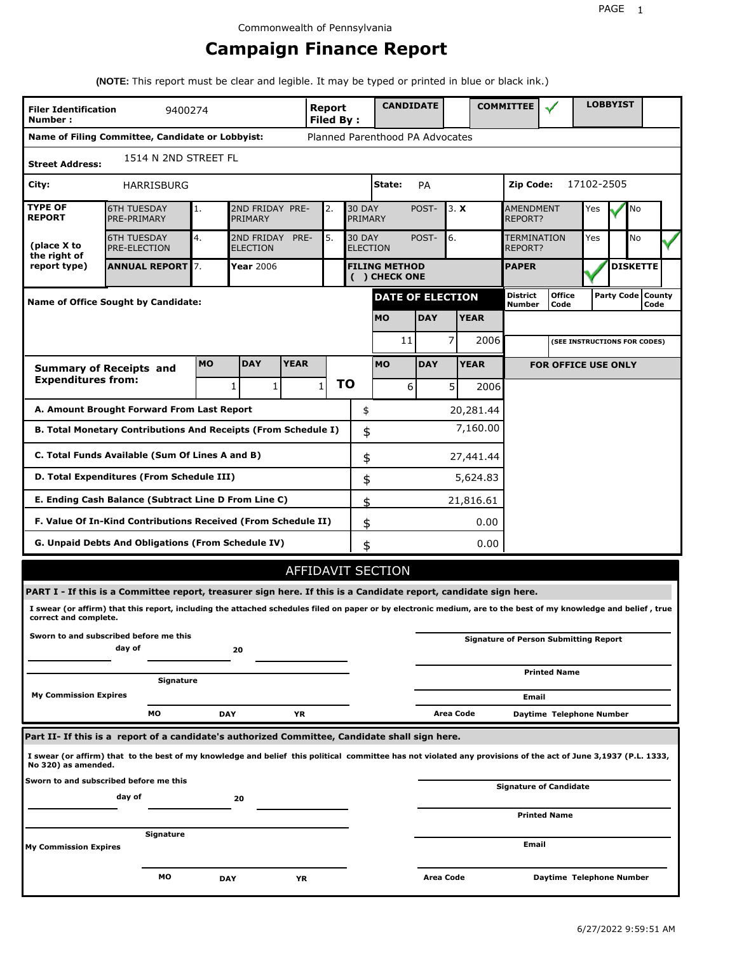# **Campaign Finance Report**

**(NOTE:** This report must be clear and legible. It may be typed or printed in blue or black ink.)

| <b>Filer Identification</b><br>Number: | 9400274                                                                                                                                                         |           |                                    |             | Report<br><b>Filed By:</b> |           |                                       | <b>CANDIDATE</b> |                         |             | <b>COMMITTEE</b>          |                                              |            | <b>LOBBYIST</b>              |                             |
|----------------------------------------|-----------------------------------------------------------------------------------------------------------------------------------------------------------------|-----------|------------------------------------|-------------|----------------------------|-----------|---------------------------------------|------------------|-------------------------|-------------|---------------------------|----------------------------------------------|------------|------------------------------|-----------------------------|
|                                        | Name of Filing Committee, Candidate or Lobbyist:                                                                                                                |           |                                    |             |                            |           | Planned Parenthood PA Advocates       |                  |                         |             |                           |                                              |            |                              |                             |
| <b>Street Address:</b>                 | 1514 N 2ND STREET FL                                                                                                                                            |           |                                    |             |                            |           |                                       |                  |                         |             |                           |                                              |            |                              |                             |
| City:                                  | HARRISBURG                                                                                                                                                      |           |                                    |             |                            |           | State:                                | <b>PA</b>        |                         |             | Zip Code:                 |                                              | 17102-2505 |                              |                             |
| <b>TYPE OF</b><br><b>REPORT</b>        | <b>6TH TUESDAY</b><br>PRE-PRIMARY                                                                                                                               | 1.        | 2ND FRIDAY PRE-<br>PRIMARY         |             | 2.                         |           | <b>30 DAY</b><br>PRIMARY              | POST-            | 3. X                    |             | AMENDMENT<br>REPORT?      |                                              | Yes        | No                           |                             |
| (place X to<br>the right of            | <b>6TH TUESDAY</b><br><b>PRE-ELECTION</b>                                                                                                                       | 4.        | 2ND FRIDAY PRE-<br><b>ELECTION</b> |             | 5.                         |           | <b>30 DAY</b><br><b>ELECTION</b>      | POST-            | 6.                      |             | TERMINATION<br>REPORT?    |                                              | Yes        | No                           |                             |
| report type)                           | <b>ANNUAL REPORT</b> 7.                                                                                                                                         |           | Year 2006                          |             |                            |           | <b>FILING METHOD</b><br>( ) CHECK ONE |                  |                         |             | <b>PAPER</b>              |                                              |            | <b>DISKETTE</b>              |                             |
|                                        | Name of Office Sought by Candidate:                                                                                                                             |           |                                    |             |                            |           |                                       |                  | <b>DATE OF ELECTION</b> |             | <b>District</b><br>Number | <b>Office</b><br>Code                        |            |                              | Party Code   County<br>Code |
|                                        |                                                                                                                                                                 |           |                                    |             |                            |           | <b>MO</b>                             | <b>DAY</b>       |                         | <b>YEAR</b> |                           |                                              |            |                              |                             |
|                                        |                                                                                                                                                                 |           |                                    |             |                            |           |                                       | 11               | 7                       | 2006        |                           |                                              |            | (SEE INSTRUCTIONS FOR CODES) |                             |
|                                        | <b>Summary of Receipts and</b>                                                                                                                                  | <b>MO</b> | <b>DAY</b>                         | <b>YEAR</b> |                            |           | <b>MO</b>                             | <b>DAY</b>       |                         | <b>YEAR</b> |                           | <b>FOR OFFICE USE ONLY</b>                   |            |                              |                             |
| <b>Expenditures from:</b>              |                                                                                                                                                                 |           | 1<br>1                             |             | $\mathbf{1}$               | <b>TO</b> |                                       | 6                | 5 <sub>l</sub>          | 2006        |                           |                                              |            |                              |                             |
|                                        | A. Amount Brought Forward From Last Report                                                                                                                      |           |                                    |             |                            |           | \$                                    |                  |                         | 20,281.44   |                           |                                              |            |                              |                             |
|                                        | B. Total Monetary Contributions And Receipts (From Schedule I)                                                                                                  |           |                                    |             |                            |           | \$                                    |                  |                         | 7,160.00    |                           |                                              |            |                              |                             |
|                                        | C. Total Funds Available (Sum Of Lines A and B)                                                                                                                 |           |                                    |             |                            |           | \$                                    |                  |                         | 27,441.44   |                           |                                              |            |                              |                             |
|                                        | D. Total Expenditures (From Schedule III)                                                                                                                       |           |                                    |             |                            |           | \$                                    |                  |                         | 5,624.83    |                           |                                              |            |                              |                             |
|                                        | E. Ending Cash Balance (Subtract Line D From Line C)                                                                                                            |           |                                    |             |                            |           | \$                                    |                  |                         | 21,816.61   |                           |                                              |            |                              |                             |
|                                        | F. Value Of In-Kind Contributions Received (From Schedule II)                                                                                                   |           |                                    |             |                            |           | \$                                    |                  |                         | 0.00        |                           |                                              |            |                              |                             |
|                                        | G. Unpaid Debts And Obligations (From Schedule IV)                                                                                                              |           |                                    |             |                            |           | \$                                    |                  |                         | 0.00        |                           |                                              |            |                              |                             |
|                                        |                                                                                                                                                                 |           |                                    |             |                            |           | <b>AFFIDAVIT SECTION</b>              |                  |                         |             |                           |                                              |            |                              |                             |
|                                        | PART I - If this is a Committee report, treasurer sign here. If this is a Candidate report, candidate sign here.                                                |           |                                    |             |                            |           |                                       |                  |                         |             |                           |                                              |            |                              |                             |
| correct and complete.                  | I swear (or affirm) that this report, including the attached schedules filed on paper or by electronic medium, are to the best of my knowledge and belief, true |           |                                    |             |                            |           |                                       |                  |                         |             |                           |                                              |            |                              |                             |
|                                        | Sworn to and subscribed before me this<br>day of                                                                                                                |           | 20                                 |             |                            |           |                                       |                  |                         |             |                           | <b>Signature of Person Submitting Report</b> |            |                              |                             |
|                                        | Signature                                                                                                                                                       |           |                                    |             |                            |           |                                       |                  |                         |             |                           | <b>Printed Name</b>                          |            |                              |                             |
| <b>My Commission Expires</b>           |                                                                                                                                                                 |           |                                    |             |                            |           |                                       |                  |                         |             | Email                     |                                              |            |                              |                             |
|                                        | МO                                                                                                                                                              |           | DAY                                | YR          |                            |           |                                       |                  | Area Code               |             |                           | Daytime Telephone Number                     |            |                              |                             |
|                                        | Part II- If this is a report of a candidate's authorized Committee, Candidate shall sign here.                                                                  |           |                                    |             |                            |           |                                       |                  |                         |             |                           |                                              |            |                              |                             |
| No 320) as amended.                    | I swear (or affirm) that to the best of my knowledge and belief this political committee has not violated any provisions of the act of June 3,1937 (P.L. 1333,  |           |                                    |             |                            |           |                                       |                  |                         |             |                           |                                              |            |                              |                             |
|                                        | Sworn to and subscribed before me this<br>day of                                                                                                                |           | 20                                 |             |                            |           |                                       |                  |                         |             |                           | <b>Signature of Candidate</b>                |            |                              |                             |
|                                        |                                                                                                                                                                 |           |                                    |             |                            |           |                                       |                  |                         |             |                           | <b>Printed Name</b>                          |            |                              |                             |
| My Commission Expires                  | Signature                                                                                                                                                       |           |                                    |             |                            |           |                                       |                  |                         |             | Email                     |                                              |            |                              |                             |
|                                        | МO                                                                                                                                                              |           | <b>DAY</b>                         | ΥR          |                            |           |                                       |                  | Area Code               |             |                           | Daytime Telephone Number                     |            |                              |                             |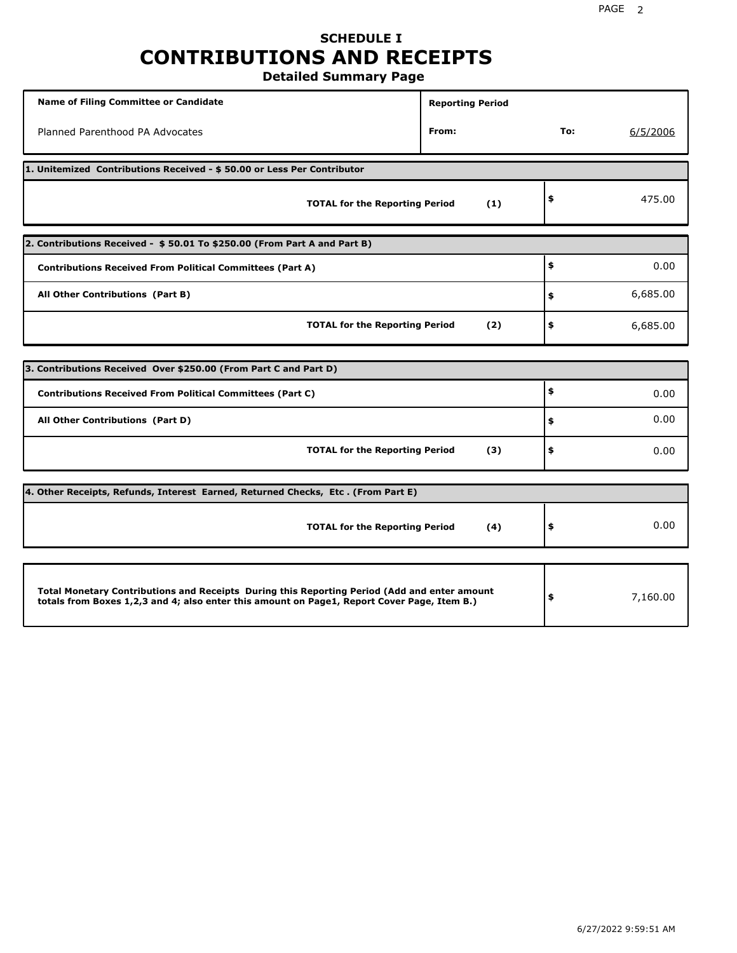# **SCHEDULE I CONTRIBUTIONS AND RECEIPTS**

**Detailed Summary Page**

| <b>Name of Filing Committee or Candidate</b>                                                                                                                                                | <b>Reporting Period</b> |     |          |
|---------------------------------------------------------------------------------------------------------------------------------------------------------------------------------------------|-------------------------|-----|----------|
| Planned Parenthood PA Advocates                                                                                                                                                             | From:                   | To: | 6/5/2006 |
| 1. Unitemized Contributions Received - \$50.00 or Less Per Contributor                                                                                                                      |                         |     |          |
| <b>TOTAL for the Reporting Period</b>                                                                                                                                                       | (1)                     | \$  | 475.00   |
| 2. Contributions Received - \$50.01 To \$250.00 (From Part A and Part B)                                                                                                                    |                         |     |          |
| <b>Contributions Received From Political Committees (Part A)</b>                                                                                                                            |                         | \$  | 0.00     |
| All Other Contributions (Part B)                                                                                                                                                            |                         | \$  | 6,685.00 |
| <b>TOTAL for the Reporting Period</b>                                                                                                                                                       | (2)                     | \$  | 6,685.00 |
|                                                                                                                                                                                             |                         |     |          |
| 3. Contributions Received Over \$250.00 (From Part C and Part D)                                                                                                                            |                         |     |          |
| <b>Contributions Received From Political Committees (Part C)</b>                                                                                                                            |                         | \$  | 0.00     |
| All Other Contributions (Part D)                                                                                                                                                            |                         | \$  | 0.00     |
| <b>TOTAL for the Reporting Period</b>                                                                                                                                                       | (3)                     | \$  | 0.00     |
| 4. Other Receipts, Refunds, Interest Earned, Returned Checks, Etc. (From Part E)                                                                                                            |                         |     |          |
| <b>TOTAL for the Reporting Period</b>                                                                                                                                                       | (4)                     | \$  | 0.00     |
|                                                                                                                                                                                             |                         |     |          |
| Total Monetary Contributions and Receipts During this Reporting Period (Add and enter amount<br>totals from Boxes 1,2,3 and 4; also enter this amount on Page1, Report Cover Page, Item B.) |                         | \$  | 7,160.00 |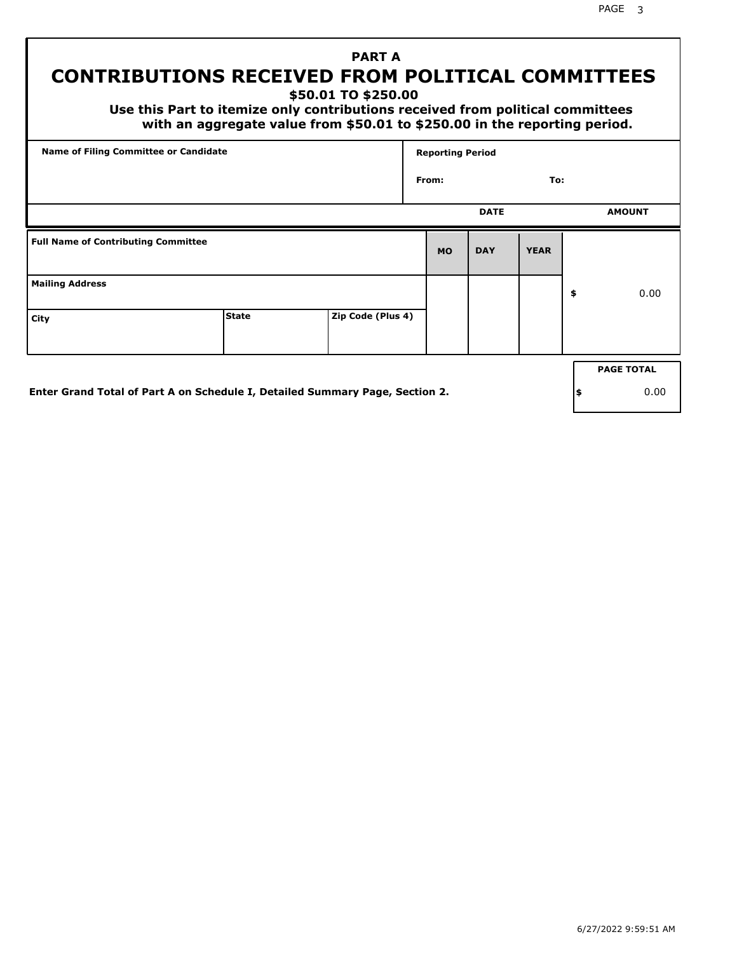PAGE 3

# **PART A CONTRIBUTIONS RECEIVED FROM POLITICAL COMMITTEES**

**\$50.01 TO \$250.00**

 **Use this Part to itemize only contributions received from political committees with an aggregate value from \$50.01 to \$250.00 in the reporting period.**

| From:     | <b>DATE</b> | To:         |                   |
|-----------|-------------|-------------|-------------------|
|           |             |             |                   |
|           |             |             | <b>AMOUNT</b>     |
| <b>MO</b> | <b>DAY</b>  | <b>YEAR</b> |                   |
|           |             |             | \$<br>0.00        |
|           |             |             |                   |
|           |             |             | <b>PAGE TOTAL</b> |
|           |             |             |                   |

**Enter Grand Total of Part A on Schedule I, Detailed Summary Page, Section 2.**

**\$** 0.00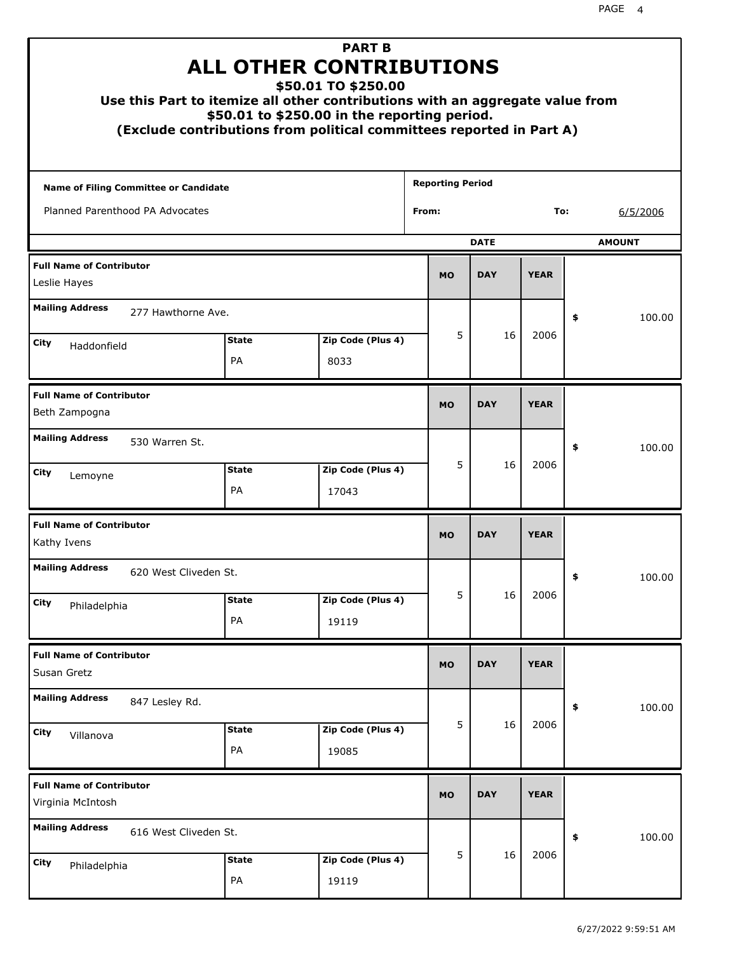|                                                      | Use this Part to itemize all other contributions with an aggregate value from<br>(Exclude contributions from political committees reported in Part A) | <b>PART B</b><br><b>ALL OTHER CONTRIBUTIONS</b><br>\$50.01 TO \$250.00<br>\$50.01 to \$250.00 in the reporting period. |                         |             |             |    |               |
|------------------------------------------------------|-------------------------------------------------------------------------------------------------------------------------------------------------------|------------------------------------------------------------------------------------------------------------------------|-------------------------|-------------|-------------|----|---------------|
| <b>Name of Filing Committee or Candidate</b>         |                                                                                                                                                       |                                                                                                                        | <b>Reporting Period</b> |             |             |    |               |
| Planned Parenthood PA Advocates                      |                                                                                                                                                       |                                                                                                                        | From:                   |             | To:         |    | 6/5/2006      |
|                                                      |                                                                                                                                                       |                                                                                                                        |                         | <b>DATE</b> |             |    | <b>AMOUNT</b> |
| <b>Full Name of Contributor</b><br>Leslie Hayes      |                                                                                                                                                       |                                                                                                                        | <b>MO</b>               | <b>DAY</b>  | <b>YEAR</b> |    |               |
| <b>Mailing Address</b>                               | 277 Hawthorne Ave.                                                                                                                                    |                                                                                                                        |                         |             |             | \$ | 100.00        |
| City<br>Haddonfield                                  | <b>State</b>                                                                                                                                          | Zip Code (Plus 4)                                                                                                      | 5                       | 16          | 2006        |    |               |
|                                                      | PA                                                                                                                                                    | 8033                                                                                                                   |                         |             |             |    |               |
| <b>Full Name of Contributor</b><br>Beth Zampogna     |                                                                                                                                                       |                                                                                                                        | <b>MO</b>               | <b>DAY</b>  | <b>YEAR</b> |    |               |
| <b>Mailing Address</b><br>530 Warren St.             |                                                                                                                                                       |                                                                                                                        |                         |             |             | \$ | 100.00        |
| City<br>Lemoyne                                      | <b>State</b><br>PA                                                                                                                                    | Zip Code (Plus 4)<br>17043                                                                                             | 5                       | 16          | 2006        |    |               |
| <b>Full Name of Contributor</b><br>Kathy Ivens       |                                                                                                                                                       |                                                                                                                        | <b>MO</b>               | <b>DAY</b>  | <b>YEAR</b> |    |               |
| <b>Mailing Address</b>                               | 620 West Cliveden St.                                                                                                                                 |                                                                                                                        |                         |             |             | Ş  | 100.00        |
| City<br>Philadelphia                                 | <b>State</b>                                                                                                                                          | Zip Code (Plus 4)                                                                                                      | 5                       | 16          | 2006        |    |               |
|                                                      | PA                                                                                                                                                    | 19119                                                                                                                  |                         |             |             |    |               |
| <b>Full Name of Contributor</b><br>Susan Gretz       |                                                                                                                                                       |                                                                                                                        | <b>MO</b>               | <b>DAY</b>  | <b>YEAR</b> |    |               |
| <b>Mailing Address</b><br>847 Lesley Rd.             |                                                                                                                                                       |                                                                                                                        |                         |             |             | \$ | 100.00        |
| City<br>Villanova                                    | <b>State</b><br>PA                                                                                                                                    | Zip Code (Plus 4)<br>19085                                                                                             | 5                       | 16          | 2006        |    |               |
| <b>Full Name of Contributor</b><br>Virginia McIntosh |                                                                                                                                                       |                                                                                                                        | <b>MO</b>               | <b>DAY</b>  | <b>YEAR</b> |    |               |
| <b>Mailing Address</b>                               | 616 West Cliveden St.                                                                                                                                 |                                                                                                                        |                         |             |             | \$ | 100.00        |
| City<br>Philadelphia                                 | <b>State</b><br>PA                                                                                                                                    | Zip Code (Plus 4)<br>19119                                                                                             | 5                       | 16          | 2006        |    |               |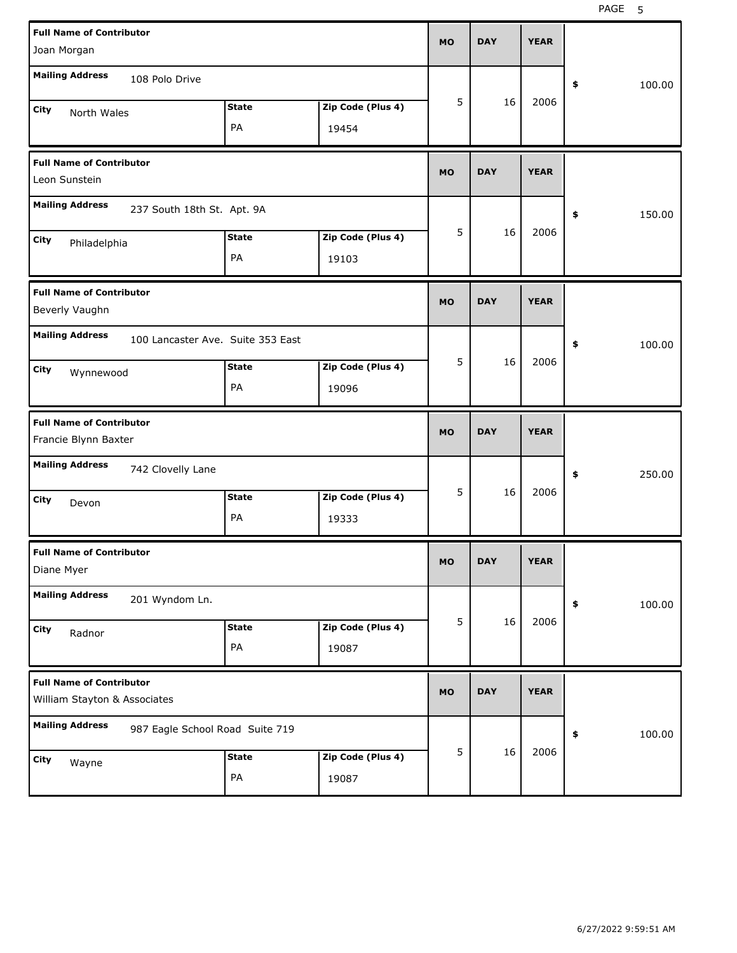| <b>Full Name of Contributor</b><br>Joan Morgan                  |                    |                            | <b>MO</b> | <b>DAY</b> | <b>YEAR</b> |              |
|-----------------------------------------------------------------|--------------------|----------------------------|-----------|------------|-------------|--------------|
| <b>Mailing Address</b><br>108 Polo Drive                        |                    |                            |           |            |             | \$<br>100.00 |
| City<br>North Wales                                             | <b>State</b><br>PA | Zip Code (Plus 4)<br>19454 | 5         | 16         | 2006        |              |
| <b>Full Name of Contributor</b><br>Leon Sunstein                |                    |                            | <b>MO</b> | <b>DAY</b> | <b>YEAR</b> |              |
| <b>Mailing Address</b><br>237 South 18th St. Apt. 9A            |                    |                            |           |            |             | \$<br>150.00 |
| City<br>Philadelphia                                            | <b>State</b><br>PA | Zip Code (Plus 4)<br>19103 | 5         | 16         | 2006        |              |
| <b>Full Name of Contributor</b><br>Beverly Vaughn               |                    |                            | <b>MO</b> | <b>DAY</b> | <b>YEAR</b> |              |
| <b>Mailing Address</b><br>100 Lancaster Ave. Suite 353 East     | <b>State</b>       | Zip Code (Plus 4)          | 5         | 16         | 2006        | 100.00<br>\$ |
| City<br>Wynnewood                                               | PA                 | 19096                      |           |            |             |              |
|                                                                 |                    |                            |           |            |             |              |
| <b>Full Name of Contributor</b><br>Francie Blynn Baxter         |                    |                            | <b>MO</b> | <b>DAY</b> | <b>YEAR</b> |              |
| <b>Mailing Address</b><br>742 Clovelly Lane                     |                    |                            |           |            |             | 250.00<br>\$ |
| City<br>Devon                                                   | <b>State</b><br>PA | Zip Code (Plus 4)<br>19333 | 5         | 16         | 2006        |              |
| <b>Full Name of Contributor</b><br>Diane Myer                   |                    |                            | MO        | <b>DAY</b> | <b>YEAR</b> |              |
| <b>Mailing Address</b><br>201 Wyndom Ln.                        |                    |                            |           |            |             | 100.00<br>\$ |
| City<br>Radnor                                                  | <b>State</b><br>PA | Zip Code (Plus 4)<br>19087 | 5         | 16         | 2006        |              |
| <b>Full Name of Contributor</b><br>William Stayton & Associates |                    |                            | <b>MO</b> | <b>DAY</b> | <b>YEAR</b> |              |
| <b>Mailing Address</b><br>987 Eagle School Road Suite 719       |                    |                            | 5         | 16         | 2006        | 100.00<br>\$ |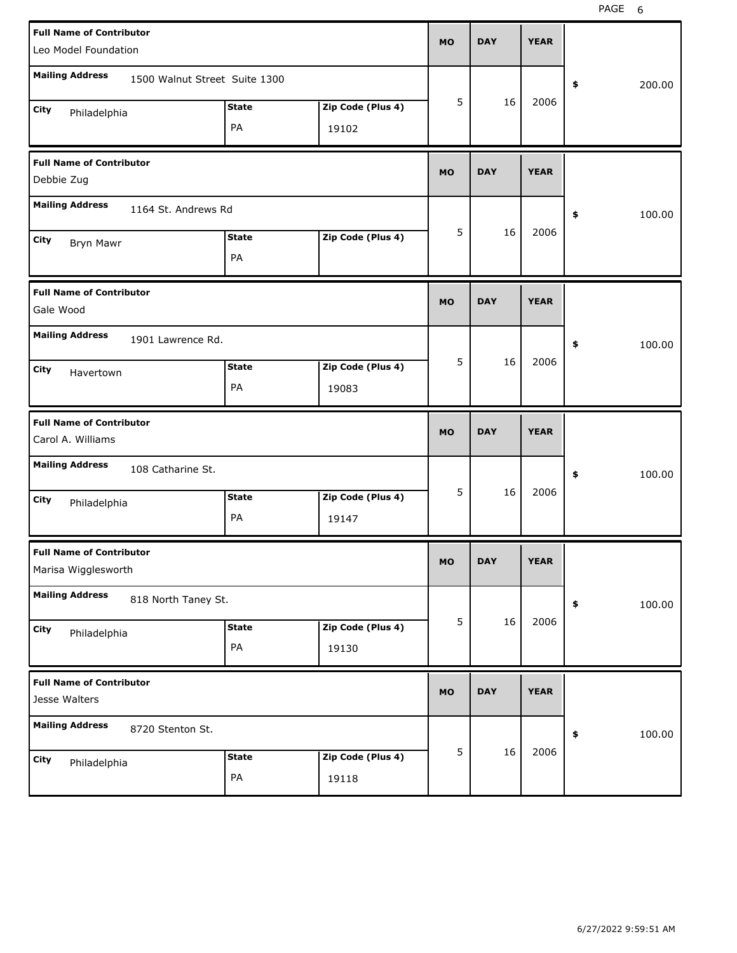| <b>Full Name of Contributor</b><br>Leo Model Foundation |                               |              |                   | <b>MO</b> | <b>DAY</b> | <b>YEAR</b> |              |
|---------------------------------------------------------|-------------------------------|--------------|-------------------|-----------|------------|-------------|--------------|
| <b>Mailing Address</b>                                  | 1500 Walnut Street Suite 1300 |              |                   |           |            |             | \$<br>200.00 |
| City<br>Philadelphia                                    |                               | <b>State</b> | Zip Code (Plus 4) | 5         | 16         | 2006        |              |
|                                                         |                               | PA           | 19102             |           |            |             |              |
| <b>Full Name of Contributor</b><br>Debbie Zug           |                               |              |                   | <b>MO</b> | <b>DAY</b> | <b>YEAR</b> |              |
| <b>Mailing Address</b>                                  | 1164 St. Andrews Rd           |              |                   |           |            |             | \$<br>100.00 |
| City<br>Bryn Mawr                                       |                               | <b>State</b> | Zip Code (Plus 4) | 5         | 16         | 2006        |              |
|                                                         |                               | PA           |                   |           |            |             |              |
| <b>Full Name of Contributor</b><br>Gale Wood            |                               |              |                   | <b>MO</b> | <b>DAY</b> | <b>YEAR</b> |              |
| <b>Mailing Address</b>                                  | 1901 Lawrence Rd.             |              |                   |           |            |             | \$<br>100.00 |
| City<br>Havertown                                       |                               | <b>State</b> | Zip Code (Plus 4) | 5         | 16         | 2006        |              |
|                                                         |                               | PA           | 19083             |           |            |             |              |
|                                                         |                               |              |                   |           |            |             |              |
| <b>Full Name of Contributor</b><br>Carol A. Williams    |                               |              |                   | <b>MO</b> | <b>DAY</b> | <b>YEAR</b> |              |
| <b>Mailing Address</b>                                  | 108 Catharine St.             |              |                   |           |            |             | \$<br>100.00 |
| City<br>Philadelphia                                    |                               | <b>State</b> | Zip Code (Plus 4) | 5         | 16         | 2006        |              |
|                                                         |                               | PA           | 19147             |           |            |             |              |
| <b>Full Name of Contributor</b><br>Marisa Wigglesworth  |                               |              |                   | MU        | <b>DAY</b> | <b>YEAR</b> |              |
| <b>Mailing Address</b>                                  | 818 North Taney St.           |              |                   |           |            |             | \$<br>100.00 |
| City                                                    |                               | <b>State</b> | Zip Code (Plus 4) | 5         | 16         | 2006        |              |
| Philadelphia                                            |                               | PA           | 19130             |           |            |             |              |
| <b>Full Name of Contributor</b><br>Jesse Walters        |                               |              |                   | <b>MO</b> | <b>DAY</b> | <b>YEAR</b> |              |
| <b>Mailing Address</b>                                  | 8720 Stenton St.              |              |                   |           |            |             | \$<br>100.00 |
| City<br>Philadelphia                                    |                               | <b>State</b> | Zip Code (Plus 4) | 5         | 16         | 2006        |              |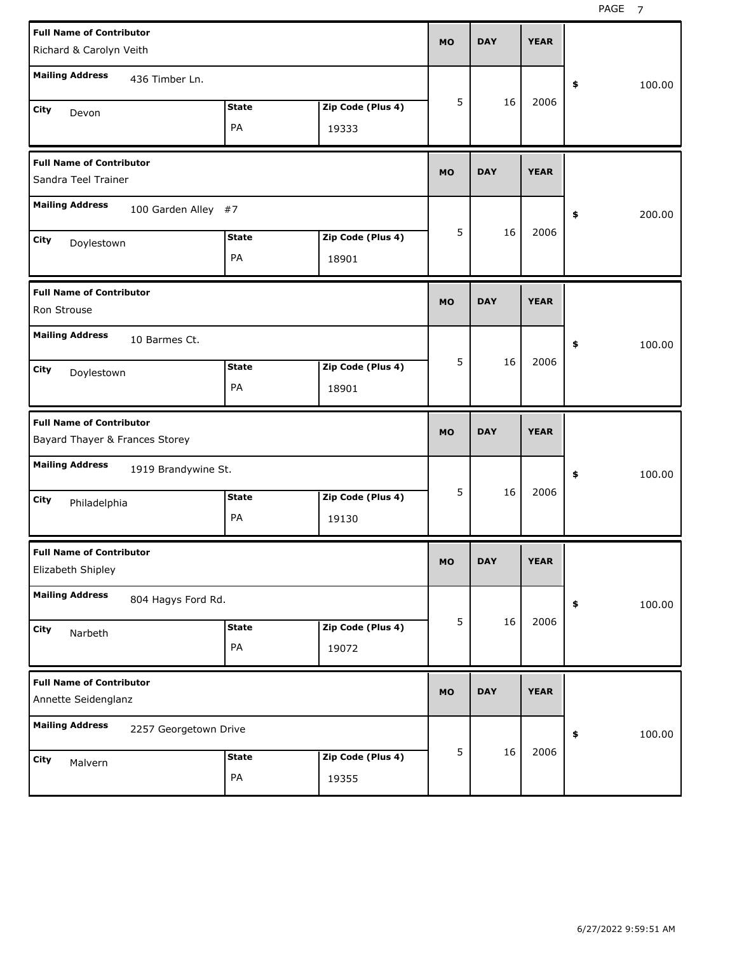| <b>Full Name of Contributor</b><br>Richard & Carolyn Veith        |                    |                            | <b>MO</b> | <b>DAY</b> | <b>YEAR</b> |              |
|-------------------------------------------------------------------|--------------------|----------------------------|-----------|------------|-------------|--------------|
| <b>Mailing Address</b><br>436 Timber Ln.                          |                    |                            |           |            |             | \$<br>100.00 |
| City<br>Devon                                                     | <b>State</b><br>PA | Zip Code (Plus 4)<br>19333 | 5         | 16         | 2006        |              |
| <b>Full Name of Contributor</b><br>Sandra Teel Trainer            |                    |                            | <b>MO</b> | <b>DAY</b> | <b>YEAR</b> |              |
| <b>Mailing Address</b><br>100 Garden Alley #7                     |                    |                            |           |            |             | \$<br>200.00 |
| City<br>Doylestown                                                | <b>State</b><br>PA | Zip Code (Plus 4)<br>18901 | 5         | 16         | 2006        |              |
| <b>Full Name of Contributor</b><br>Ron Strouse                    |                    |                            | <b>MO</b> | <b>DAY</b> | <b>YEAR</b> |              |
| <b>Mailing Address</b><br>10 Barmes Ct.                           |                    |                            |           |            |             | 100.00<br>\$ |
| City<br>Doylestown                                                | <b>State</b><br>PA | Zip Code (Plus 4)<br>18901 | 5         | 16         | 2006        |              |
|                                                                   |                    |                            |           |            |             |              |
| <b>Full Name of Contributor</b><br>Bayard Thayer & Frances Storey |                    |                            | <b>MO</b> | <b>DAY</b> | <b>YEAR</b> |              |
| <b>Mailing Address</b><br>1919 Brandywine St.                     |                    |                            |           |            |             | \$<br>100.00 |
| City<br>Philadelphia                                              | <b>State</b><br>PA | Zip Code (Plus 4)<br>19130 | 5         | 16         | 2006        |              |
| <b>Full Name of Contributor</b><br>Elizabeth Shipley              |                    |                            | MO        | <b>DAY</b> | <b>YEAR</b> |              |
| <b>Mailing Address</b><br>804 Hagys Ford Rd.                      |                    |                            |           |            |             | 100.00<br>\$ |
| City<br>Narbeth                                                   | <b>State</b><br>PA | Zip Code (Plus 4)<br>19072 | 5         | 16         | 2006        |              |
| <b>Full Name of Contributor</b><br>Annette Seidenglanz            |                    |                            | <b>MO</b> | <b>DAY</b> | <b>YEAR</b> |              |
| <b>Mailing Address</b><br>2257 Georgetown Drive                   |                    |                            | 5         | 16         | 2006        | 100.00<br>\$ |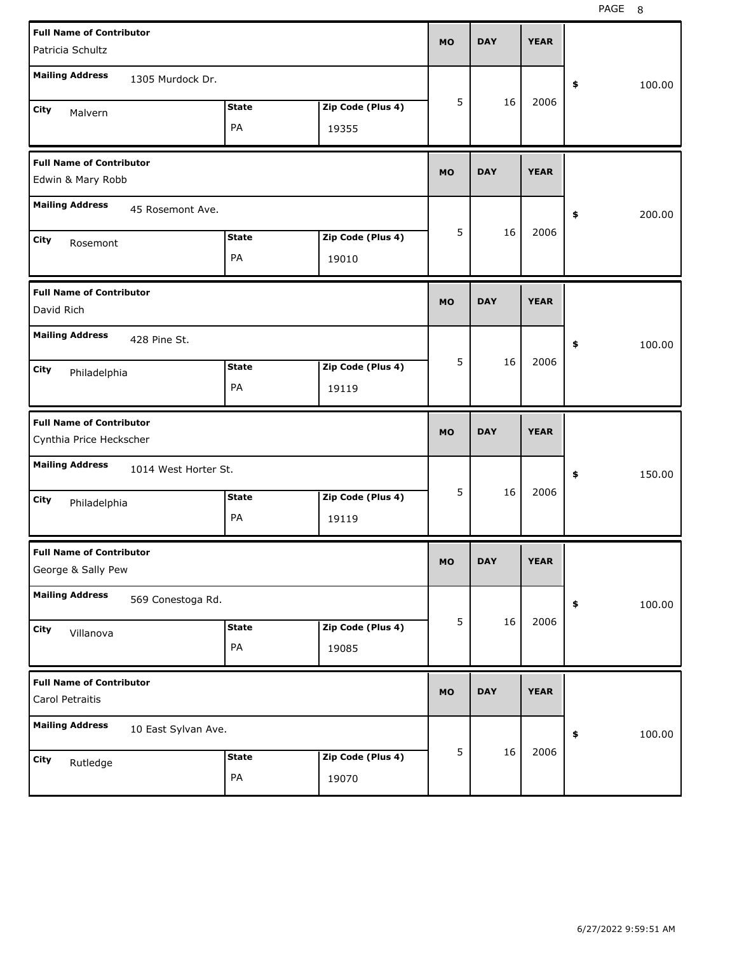| <b>Full Name of Contributor</b><br>Patricia Schultz        |                      |                   | <b>MO</b> | <b>DAY</b> | <b>YEAR</b> |              |
|------------------------------------------------------------|----------------------|-------------------|-----------|------------|-------------|--------------|
| <b>Mailing Address</b>                                     | 1305 Murdock Dr.     |                   |           |            |             | \$<br>100.00 |
| City<br>Malvern                                            | <b>State</b>         | Zip Code (Plus 4) | 5         | 16         | 2006        |              |
|                                                            | PA                   | 19355             |           |            |             |              |
| <b>Full Name of Contributor</b><br>Edwin & Mary Robb       |                      |                   | <b>MO</b> | <b>DAY</b> | <b>YEAR</b> |              |
| <b>Mailing Address</b>                                     | 45 Rosemont Ave.     |                   |           |            |             | \$<br>200.00 |
| City<br>Rosemont                                           | <b>State</b>         | Zip Code (Plus 4) | 5         | 16         | 2006        |              |
|                                                            | PA                   | 19010             |           |            |             |              |
| <b>Full Name of Contributor</b><br>David Rich              |                      |                   | <b>MO</b> | <b>DAY</b> | <b>YEAR</b> |              |
| <b>Mailing Address</b><br>428 Pine St.                     |                      |                   |           |            |             | \$<br>100.00 |
| City<br>Philadelphia                                       | <b>State</b>         | Zip Code (Plus 4) | 5         | 16         | 2006        |              |
|                                                            | PA                   | 19119             |           |            |             |              |
|                                                            |                      |                   |           |            |             |              |
| <b>Full Name of Contributor</b><br>Cynthia Price Heckscher |                      |                   | <b>MO</b> | <b>DAY</b> | <b>YEAR</b> |              |
| <b>Mailing Address</b>                                     | 1014 West Horter St. |                   |           |            |             | \$<br>150.00 |
| City                                                       | <b>State</b>         | Zip Code (Plus 4) | 5         | 16         | 2006        |              |
| Philadelphia                                               | PA                   | 19119             |           |            |             |              |
| <b>Full Name of Contributor</b><br>George & Sally Pew      |                      |                   | мo        | <b>DAY</b> | <b>YEAR</b> |              |
| <b>Mailing Address</b>                                     | 569 Conestoga Rd.    |                   |           |            |             | \$<br>100.00 |
| City                                                       | <b>State</b>         | Zip Code (Plus 4) | 5         | 16         | 2006        |              |
| Villanova                                                  | PA                   | 19085             |           |            |             |              |
| <b>Full Name of Contributor</b><br>Carol Petraitis         |                      |                   | <b>MO</b> | <b>DAY</b> | <b>YEAR</b> |              |
| <b>Mailing Address</b>                                     | 10 East Sylvan Ave.  |                   |           |            |             | 100.00<br>\$ |
| City<br>Rutledge                                           | <b>State</b>         | Zip Code (Plus 4) | 5         | 16         | 2006        |              |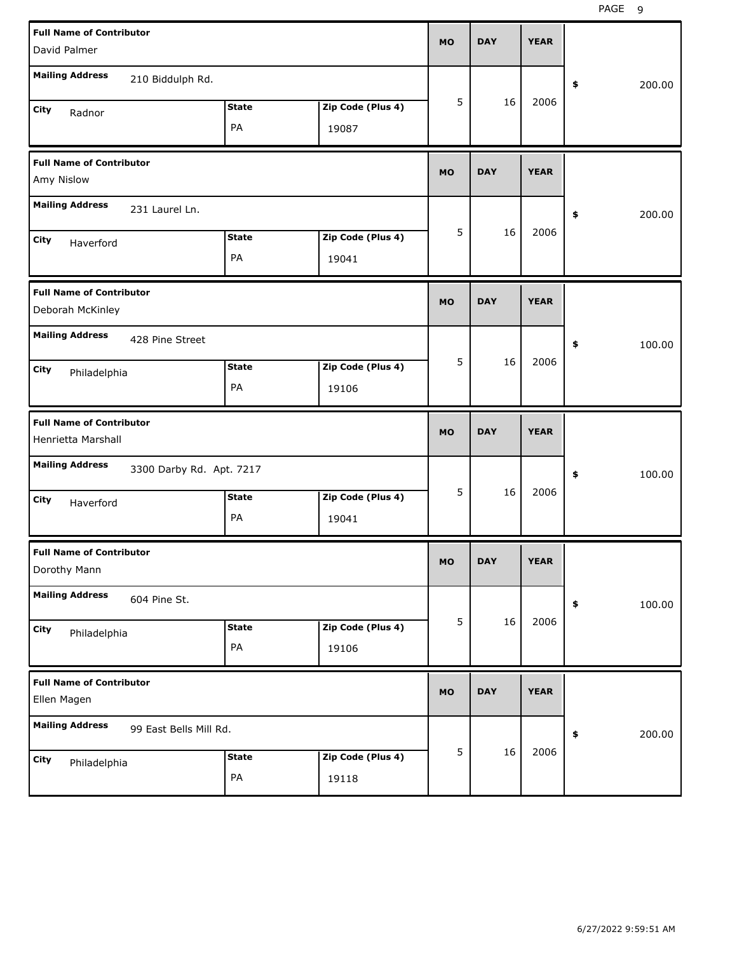PAGE 9

| <b>Full Name of Contributor</b>                       |                          |              |                   |           |            |             |              |
|-------------------------------------------------------|--------------------------|--------------|-------------------|-----------|------------|-------------|--------------|
| David Palmer                                          |                          |              |                   | <b>MO</b> | <b>DAY</b> | <b>YEAR</b> |              |
| <b>Mailing Address</b>                                | 210 Biddulph Rd.         |              |                   |           |            |             | \$<br>200.00 |
| City<br>Radnor                                        |                          | <b>State</b> | Zip Code (Plus 4) | 5         | 16         | 2006        |              |
|                                                       |                          | PA           | 19087             |           |            |             |              |
| <b>Full Name of Contributor</b><br>Amy Nislow         |                          |              |                   | <b>MO</b> | <b>DAY</b> | <b>YEAR</b> |              |
| <b>Mailing Address</b>                                | 231 Laurel Ln.           |              |                   |           |            |             | \$<br>200.00 |
| City<br>Haverford                                     |                          | <b>State</b> | Zip Code (Plus 4) | 5         | 16         | 2006        |              |
|                                                       |                          | PA           | 19041             |           |            |             |              |
| <b>Full Name of Contributor</b><br>Deborah McKinley   |                          |              |                   | <b>MO</b> | <b>DAY</b> | <b>YEAR</b> |              |
| <b>Mailing Address</b>                                | 428 Pine Street          |              |                   |           |            |             | \$<br>100.00 |
| <b>City</b><br>Philadelphia                           |                          | <b>State</b> | Zip Code (Plus 4) | 5         | 16         | 2006        |              |
|                                                       |                          | PA           | 19106             |           |            |             |              |
|                                                       |                          |              |                   |           |            |             |              |
| <b>Full Name of Contributor</b><br>Henrietta Marshall |                          |              |                   | <b>MO</b> | <b>DAY</b> | <b>YEAR</b> |              |
| <b>Mailing Address</b>                                | 3300 Darby Rd. Apt. 7217 |              |                   |           |            |             | \$<br>100.00 |
| City<br>Haverford                                     |                          | <b>State</b> | Zip Code (Plus 4) | 5         | 16         | 2006        |              |
|                                                       |                          | PA           | 19041             |           |            |             |              |
| <b>Full Name of Contributor</b><br>Dorothy Mann       |                          |              |                   | <b>MO</b> | <b>DAY</b> | <b>YEAR</b> |              |
| <b>Mailing Address</b>                                | 604 Pine St.             |              |                   |           |            |             | \$<br>100.00 |
| City                                                  |                          | <b>State</b> | Zip Code (Plus 4) | 5         | 16         | 2006        |              |
| Philadelphia                                          |                          | PA           | 19106             |           |            |             |              |
| <b>Full Name of Contributor</b><br>Ellen Magen        |                          |              |                   | <b>MO</b> | <b>DAY</b> | <b>YEAR</b> |              |
| <b>Mailing Address</b>                                | 99 East Bells Mill Rd.   |              |                   |           |            |             | 200.00<br>\$ |
| City<br>Philadelphia                                  |                          | <b>State</b> | Zip Code (Plus 4) | 5         | 16         | 2006        |              |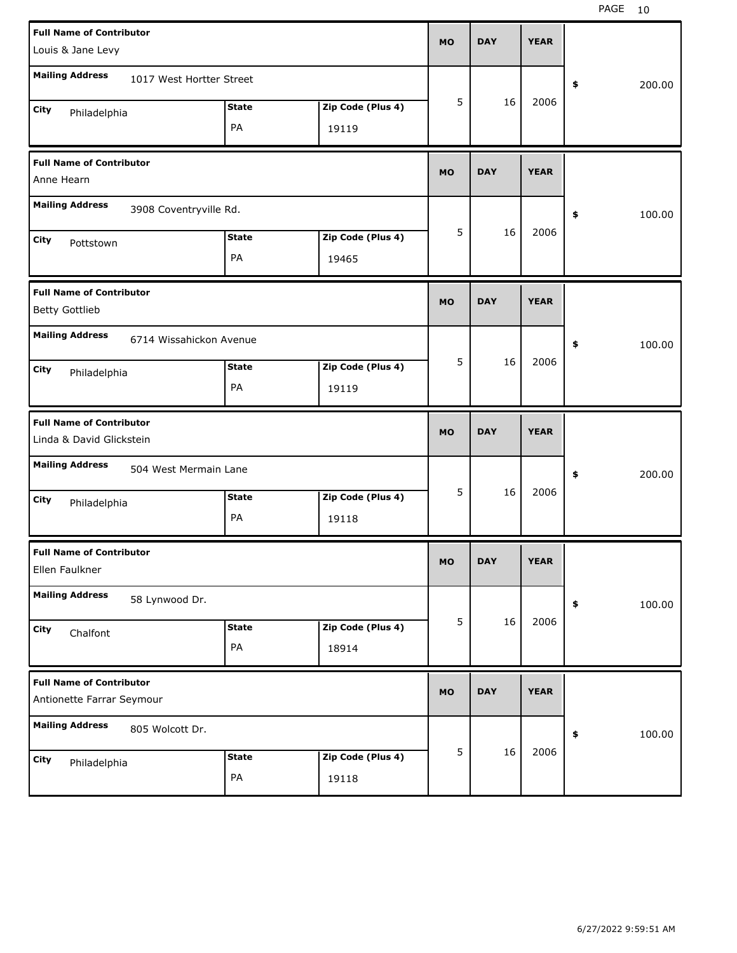| <b>Full Name of Contributor</b>                              |                          |              |                   | <b>MO</b> | <b>DAY</b> | <b>YEAR</b> |              |
|--------------------------------------------------------------|--------------------------|--------------|-------------------|-----------|------------|-------------|--------------|
| Louis & Jane Levy                                            |                          |              |                   |           |            |             |              |
| <b>Mailing Address</b>                                       | 1017 West Hortter Street |              |                   |           |            |             | \$<br>200.00 |
| City<br>Philadelphia                                         |                          | <b>State</b> | Zip Code (Plus 4) | 5         | 16         | 2006        |              |
|                                                              |                          | PA           | 19119             |           |            |             |              |
| <b>Full Name of Contributor</b><br>Anne Hearn                |                          |              |                   | <b>MO</b> | <b>DAY</b> | <b>YEAR</b> |              |
| <b>Mailing Address</b>                                       | 3908 Coventryville Rd.   |              |                   |           |            |             | \$<br>100.00 |
| City                                                         |                          | <b>State</b> | Zip Code (Plus 4) | 5         | 16         | 2006        |              |
| Pottstown                                                    |                          | PA           | 19465             |           |            |             |              |
| <b>Full Name of Contributor</b><br><b>Betty Gottlieb</b>     |                          |              |                   | <b>MO</b> | <b>DAY</b> | <b>YEAR</b> |              |
| <b>Mailing Address</b>                                       | 6714 Wissahickon Avenue  |              |                   |           |            |             | \$<br>100.00 |
| City<br>Philadelphia                                         |                          | <b>State</b> | Zip Code (Plus 4) | 5         | 16         | 2006        |              |
|                                                              |                          | PA           | 19119             |           |            |             |              |
|                                                              |                          |              |                   |           |            |             |              |
| <b>Full Name of Contributor</b><br>Linda & David Glickstein  |                          |              |                   | <b>MO</b> | <b>DAY</b> | <b>YEAR</b> |              |
| <b>Mailing Address</b>                                       | 504 West Mermain Lane    |              |                   |           |            |             | \$<br>200.00 |
| City                                                         |                          | <b>State</b> | Zip Code (Plus 4) | 5         | 16         | 2006        |              |
| Philadelphia                                                 |                          | PA           | 19118             |           |            |             |              |
| <b>Full Name of Contributor</b><br>Ellen Faulkner            |                          |              |                   | МO        | <b>DAY</b> | <b>YEAR</b> |              |
| <b>Mailing Address</b>                                       | 58 Lynwood Dr.           |              |                   |           |            |             | \$<br>100.00 |
| City                                                         |                          | <b>State</b> | Zip Code (Plus 4) | 5         | 16         | 2006        |              |
| Chalfont                                                     |                          | PA           | 18914             |           |            |             |              |
| <b>Full Name of Contributor</b><br>Antionette Farrar Seymour |                          |              |                   | <b>MO</b> | <b>DAY</b> | <b>YEAR</b> |              |
| <b>Mailing Address</b>                                       | 805 Wolcott Dr.          |              |                   |           |            |             | \$<br>100.00 |
| City<br>Philadelphia                                         |                          | <b>State</b> | Zip Code (Plus 4) | 5         | 16         | 2006        |              |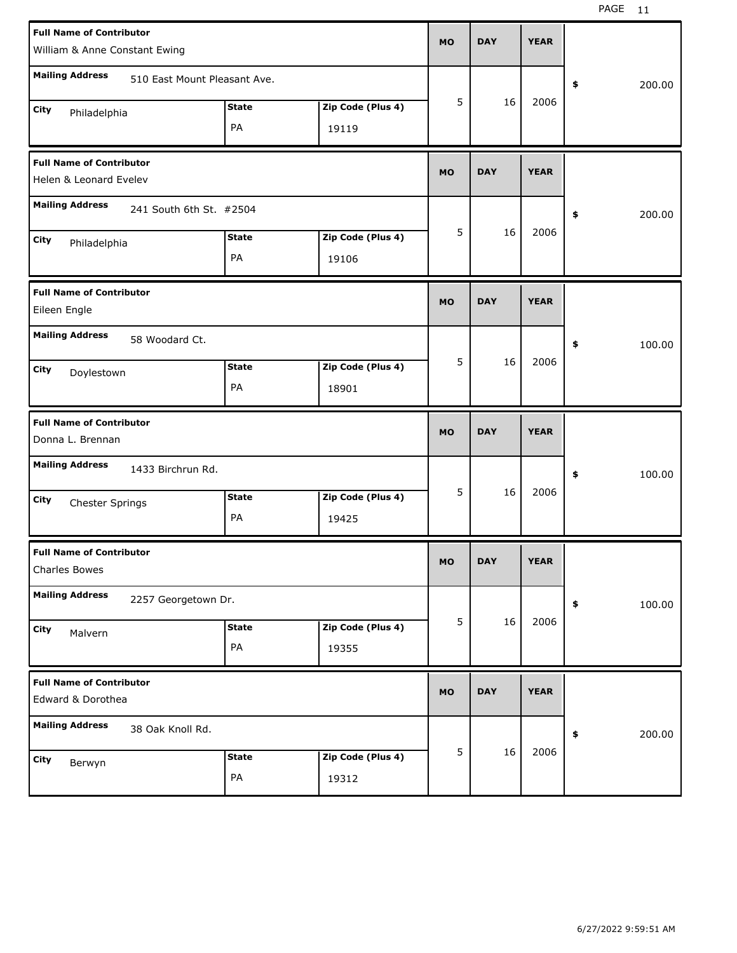| <b>Full Name of Contributor</b><br>William & Anne Constant Ewing |                            | <b>MO</b> | <b>DAY</b> | <b>YEAR</b> |              |
|------------------------------------------------------------------|----------------------------|-----------|------------|-------------|--------------|
| <b>Mailing Address</b><br>510 East Mount Pleasant Ave.           |                            |           |            |             | \$<br>200.00 |
| <b>State</b><br>City<br>Philadelphia<br>PA                       | Zip Code (Plus 4)<br>19119 | 5         | 16         | 2006        |              |
| <b>Full Name of Contributor</b><br>Helen & Leonard Evelev        |                            | <b>MO</b> | <b>DAY</b> | <b>YEAR</b> |              |
| <b>Mailing Address</b><br>241 South 6th St. #2504                |                            |           |            |             | 200.00<br>\$ |
| <b>State</b><br>City<br>Philadelphia<br>PA                       | Zip Code (Plus 4)<br>19106 | 5         | 16         | 2006        |              |
| <b>Full Name of Contributor</b><br>Eileen Engle                  |                            | <b>MO</b> | <b>DAY</b> | <b>YEAR</b> |              |
| <b>Mailing Address</b><br>58 Woodard Ct.                         |                            |           |            |             | \$<br>100.00 |
| <b>State</b><br>City<br>Doylestown<br>PA                         | Zip Code (Plus 4)<br>18901 | 5         | 16         | 2006        |              |
|                                                                  |                            |           |            |             |              |
| <b>Full Name of Contributor</b><br>Donna L. Brennan              |                            | <b>MO</b> | <b>DAY</b> | <b>YEAR</b> |              |
| <b>Mailing Address</b><br>1433 Birchrun Rd.                      |                            |           |            |             | 100.00<br>\$ |
| <b>State</b><br>City<br>Chester Springs<br>PA                    | Zip Code (Plus 4)<br>19425 | 5         | 16         | 2006        |              |
| <b>Full Name of Contributor</b><br>Charles Bowes                 |                            | МO        | <b>DAY</b> | <b>YEAR</b> |              |
| <b>Mailing Address</b><br>2257 Georgetown Dr.                    |                            |           |            |             | 100.00<br>\$ |
| <b>State</b><br>City<br>Malvern<br>PA                            | Zip Code (Plus 4)<br>19355 | 5         | 16         | 2006        |              |
| <b>Full Name of Contributor</b><br>Edward & Dorothea             |                            | <b>MO</b> | <b>DAY</b> | <b>YEAR</b> |              |
| <b>Mailing Address</b><br>38 Oak Knoll Rd.                       |                            | 5         | 16         | 2006        | 200.00<br>\$ |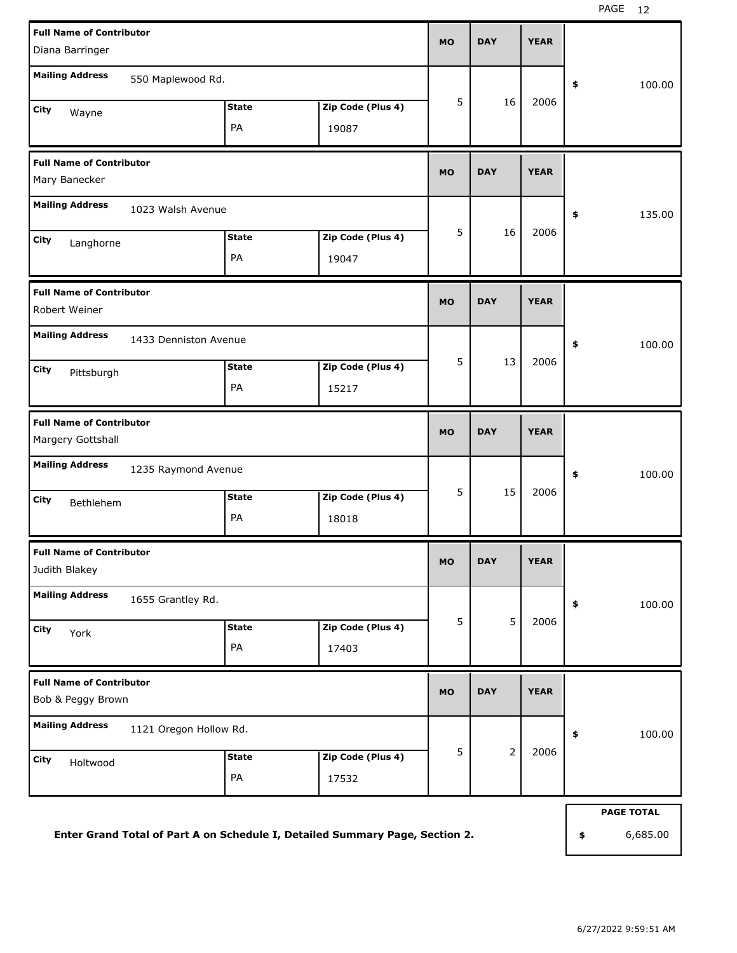| <b>Full Name of Contributor</b>                  |              |                   | <b>MO</b> | <b>DAY</b>     | <b>YEAR</b> |                   |
|--------------------------------------------------|--------------|-------------------|-----------|----------------|-------------|-------------------|
| Diana Barringer                                  |              |                   |           |                |             |                   |
| <b>Mailing Address</b><br>550 Maplewood Rd.      |              |                   |           |                |             | 100.00<br>\$      |
| City<br>Wayne                                    | <b>State</b> | Zip Code (Plus 4) | 5         | 16             | 2006        |                   |
|                                                  | PA           | 19087             |           |                |             |                   |
| <b>Full Name of Contributor</b>                  |              |                   | <b>MO</b> | <b>DAY</b>     | <b>YEAR</b> |                   |
| Mary Banecker                                    |              |                   |           |                |             |                   |
| <b>Mailing Address</b><br>1023 Walsh Avenue      |              |                   |           |                |             | 135.00<br>\$      |
| City<br>Langhorne                                | <b>State</b> | Zip Code (Plus 4) | 5         | 16             | 2006        |                   |
|                                                  | PA           | 19047             |           |                |             |                   |
| <b>Full Name of Contributor</b>                  |              |                   | <b>MO</b> | <b>DAY</b>     | <b>YEAR</b> |                   |
| Robert Weiner                                    |              |                   |           |                |             |                   |
| <b>Mailing Address</b><br>1433 Denniston Avenue  |              |                   |           |                |             | 100.00<br>\$      |
| City<br>Pittsburgh                               | <b>State</b> | Zip Code (Plus 4) | 5         | 13             | 2006        |                   |
|                                                  | PA           | 15217             |           |                |             |                   |
| <b>Full Name of Contributor</b>                  |              |                   | <b>MO</b> | <b>DAY</b>     | <b>YEAR</b> |                   |
| Margery Gottshall                                |              |                   |           |                |             |                   |
| <b>Mailing Address</b><br>1235 Raymond Avenue    |              |                   |           |                |             | 100.00<br>\$      |
| City<br>Bethlehem                                | <b>State</b> | Zip Code (Plus 4) | 5         | 15             | 2006        |                   |
|                                                  | PA           | 18018             |           |                |             |                   |
| <b>Full Name of Contributor</b>                  |              |                   | <b>MO</b> | <b>DAY</b>     | <b>YEAR</b> |                   |
| Judith Blakey                                    |              |                   |           |                |             |                   |
| <b>Mailing Address</b><br>1655 Grantley Rd.      |              |                   |           |                |             | 100.00<br>\$      |
| City<br>York                                     | <b>State</b> | Zip Code (Plus 4) | 5         | 5              | 2006        |                   |
|                                                  | PA           | 17403             |           |                |             |                   |
| <b>Full Name of Contributor</b>                  |              |                   | <b>MO</b> | <b>DAY</b>     | <b>YEAR</b> |                   |
| Bob & Peggy Brown                                |              |                   |           |                |             |                   |
| <b>Mailing Address</b><br>1121 Oregon Hollow Rd. |              |                   |           |                |             | 100.00<br>\$      |
| City<br>Holtwood                                 | <b>State</b> | Zip Code (Plus 4) | 5         | $\overline{2}$ | 2006        |                   |
|                                                  | PA           | 17532             |           |                |             |                   |
|                                                  |              |                   |           |                |             | <b>PAGE TOTAL</b> |

**Enter Grand Total of Part A on Schedule I, Detailed Summary Page, Section 2.**

**\$** 6,685.00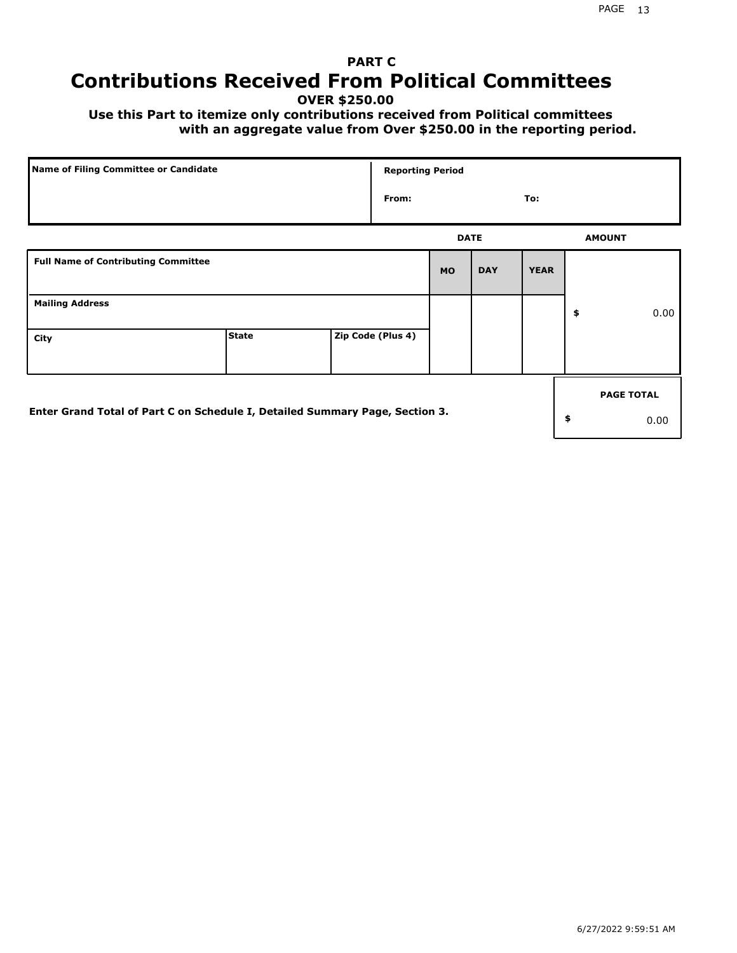# **PART C Contributions Received From Political Committees**

**OVER \$250.00**

 **Use this Part to itemize only contributions received from Political committees with an aggregate value from Over \$250.00 in the reporting period.**

| Name of Filing Committee or Candidate                                        |              |  | <b>Reporting Period</b> |             |            |             |    |                   |
|------------------------------------------------------------------------------|--------------|--|-------------------------|-------------|------------|-------------|----|-------------------|
|                                                                              |              |  | From:                   |             |            | To:         |    |                   |
|                                                                              |              |  |                         | <b>DATE</b> |            |             |    | <b>AMOUNT</b>     |
| <b>Full Name of Contributing Committee</b>                                   |              |  |                         | <b>MO</b>   | <b>DAY</b> | <b>YEAR</b> |    |                   |
| <b>Mailing Address</b>                                                       |              |  |                         |             |            |             | \$ | 0.00              |
| City                                                                         | <b>State</b> |  | Zip Code (Plus 4)       |             |            |             |    |                   |
|                                                                              |              |  |                         |             |            |             |    | <b>PAGE TOTAL</b> |
| Enter Grand Total of Part C on Schedule I, Detailed Summary Page, Section 3. |              |  |                         |             |            |             | \$ | 0.00              |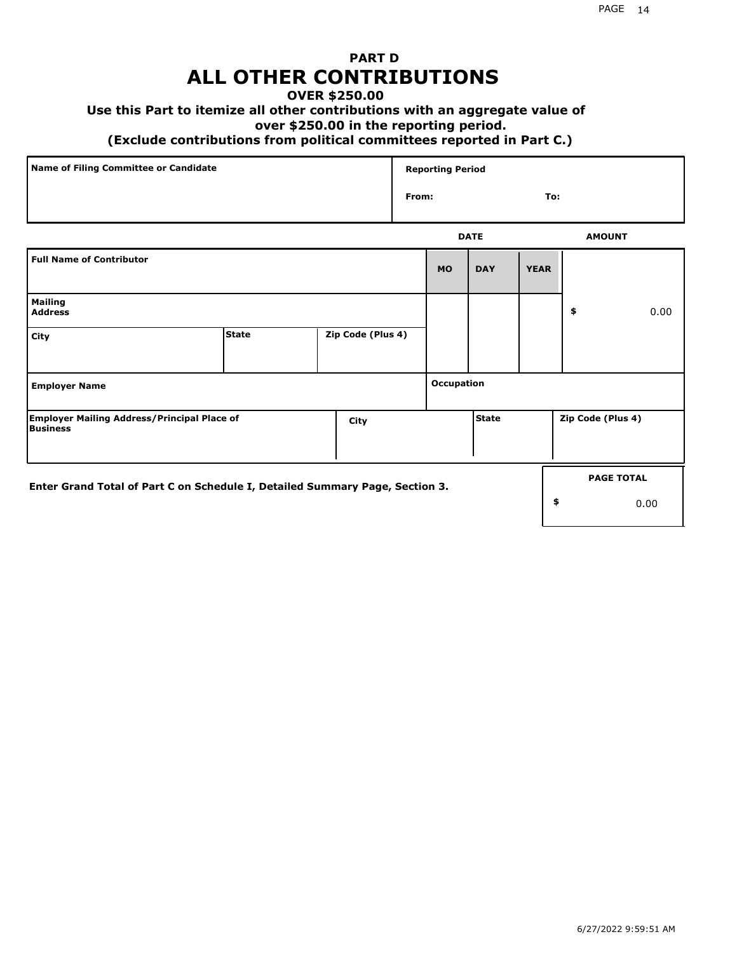## **PART D ALL OTHER CONTRIBUTIONS**

## **OVER \$250.00**

## **Use this Part to itemize all other contributions with an aggregate value of**

#### **over \$250.00 in the reporting period.**

### **(Exclude contributions from political committees reported in Part C.)**

| Name of Filing Committee or Candidate | <b>Reporting Period</b> |               |
|---------------------------------------|-------------------------|---------------|
|                                       | From:                   | To:           |
|                                       | <b>DATE</b>             | <b>AMOUNT</b> |

|                                                                              |              |                   |            |              |             |                   | <b>AMUU</b>       |
|------------------------------------------------------------------------------|--------------|-------------------|------------|--------------|-------------|-------------------|-------------------|
| <b>Full Name of Contributor</b>                                              |              |                   | <b>MO</b>  | <b>DAY</b>   | <b>YEAR</b> |                   |                   |
| <b>Mailing</b><br><b>Address</b>                                             |              |                   |            |              |             | \$                | 0.00              |
| City                                                                         | <b>State</b> | Zip Code (Plus 4) |            |              |             |                   |                   |
| <b>Employer Name</b>                                                         |              |                   | Occupation |              |             |                   |                   |
| <b>Employer Mailing Address/Principal Place of</b><br>Business               |              | City              |            | <b>State</b> |             | Zip Code (Plus 4) |                   |
| Enter Grand Total of Part C on Schedule I, Detailed Summary Page, Section 3. |              |                   |            |              |             |                   | <b>PAGE TOTAL</b> |
|                                                                              |              |                   |            |              |             | \$                | 0.00              |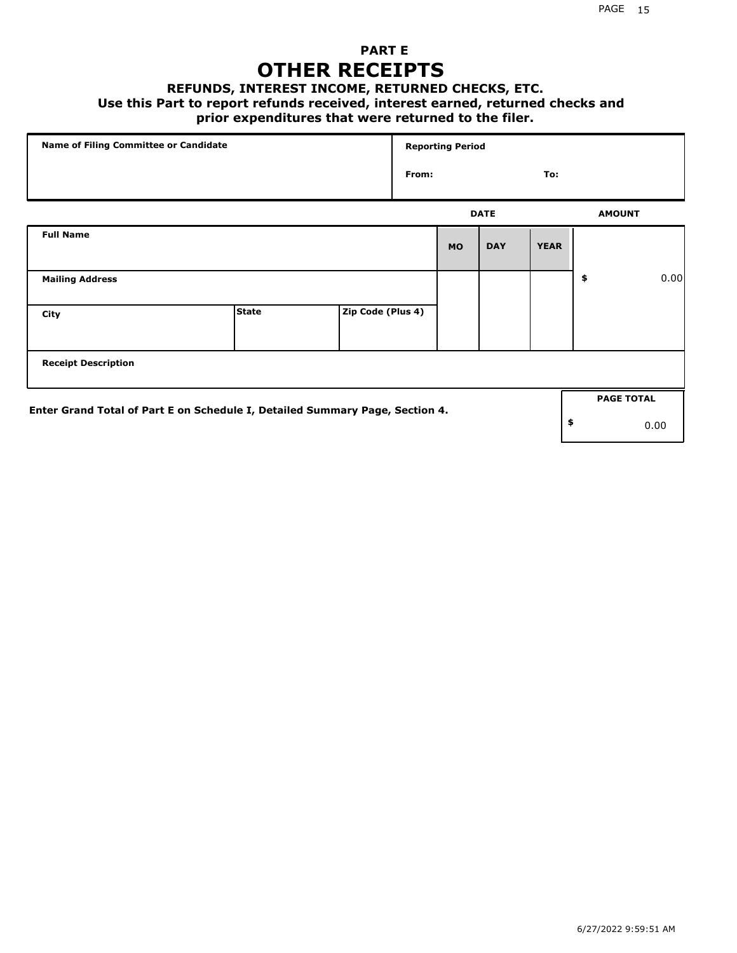## **PART E OTHER RECEIPTS**

#### **REFUNDS, INTEREST INCOME, RETURNED CHECKS, ETC.**

#### **Use this Part to report refunds received, interest earned, returned checks and**

## **prior expenditures that were returned to the filer.**

| Name of Filing Committee or Candidate                                        |              |                   | <b>Reporting Period</b> |           |             |             |    |                   |      |
|------------------------------------------------------------------------------|--------------|-------------------|-------------------------|-----------|-------------|-------------|----|-------------------|------|
|                                                                              |              |                   | From:<br>To:            |           |             |             |    |                   |      |
|                                                                              |              |                   |                         |           | <b>DATE</b> |             |    | <b>AMOUNT</b>     |      |
| <b>Full Name</b>                                                             |              |                   |                         | <b>MO</b> | <b>DAY</b>  | <b>YEAR</b> |    |                   |      |
| <b>Mailing Address</b>                                                       |              |                   |                         |           |             |             | \$ |                   | 0.00 |
| City                                                                         | <b>State</b> | Zip Code (Plus 4) |                         |           |             |             |    |                   |      |
| <b>Receipt Description</b>                                                   |              |                   |                         |           |             |             |    |                   |      |
| Enter Grand Total of Part E on Schedule I, Detailed Summary Page, Section 4. |              |                   |                         |           |             |             |    | <b>PAGE TOTAL</b> |      |
|                                                                              |              |                   |                         |           |             |             | \$ |                   | 0.00 |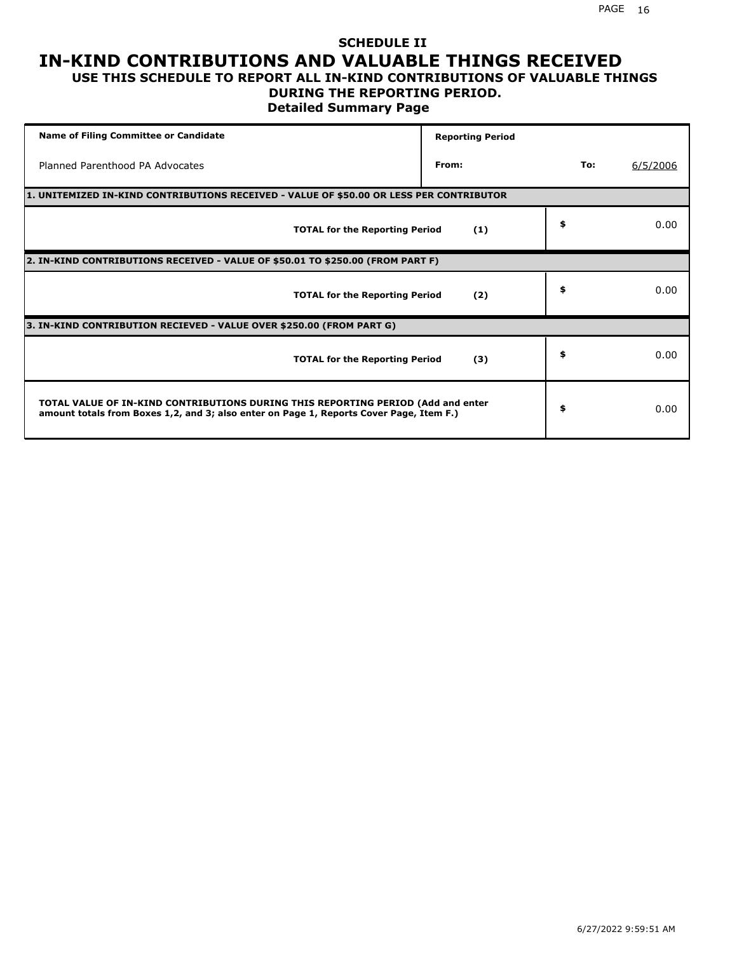## **SCHEDULE II IN-KIND CONTRIBUTIONS AND VALUABLE THINGS RECEIVED USE THIS SCHEDULE TO REPORT ALL IN-KIND CONTRIBUTIONS OF VALUABLE THINGS**

## **DURING THE REPORTING PERIOD.**

**Detailed Summary Page**

| <b>Name of Filing Committee or Candidate</b>                                                                                                                                | <b>Reporting Period</b> |     |          |
|-----------------------------------------------------------------------------------------------------------------------------------------------------------------------------|-------------------------|-----|----------|
| Planned Parenthood PA Advocates                                                                                                                                             | From:                   | To: | 6/5/2006 |
| 1. UNITEMIZED IN-KIND CONTRIBUTIONS RECEIVED - VALUE OF \$50.00 OR LESS PER CONTRIBUTOR                                                                                     |                         |     |          |
| <b>TOTAL for the Reporting Period</b>                                                                                                                                       | (1)                     | \$  | 0.00     |
| 2. IN-KIND CONTRIBUTIONS RECEIVED - VALUE OF \$50.01 TO \$250.00 (FROM PART F)                                                                                              |                         |     |          |
| <b>TOTAL for the Reporting Period</b>                                                                                                                                       | (2)                     | \$  | 0.00     |
| 3. IN-KIND CONTRIBUTION RECIEVED - VALUE OVER \$250.00 (FROM PART G)                                                                                                        |                         |     |          |
| <b>TOTAL for the Reporting Period</b>                                                                                                                                       | (3)                     | \$  | 0.00     |
| TOTAL VALUE OF IN-KIND CONTRIBUTIONS DURING THIS REPORTING PERIOD (Add and enter<br>amount totals from Boxes 1,2, and 3; also enter on Page 1, Reports Cover Page, Item F.) |                         | \$  | 0.00     |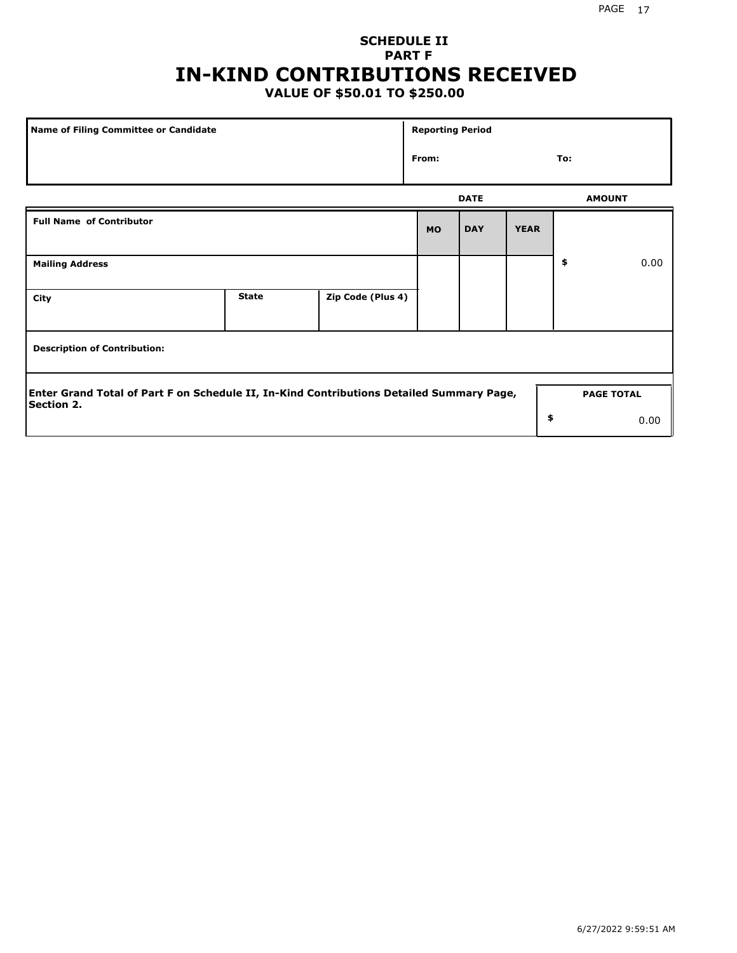## **SCHEDULE II PART F IN-KIND CONTRIBUTIONS RECEIVED**

## **VALUE OF \$50.01 TO \$250.00**

| <b>Name of Filing Committee or Candidate</b>                                                                  |              |                   | <b>Reporting Period</b> |             |             |               |                   |
|---------------------------------------------------------------------------------------------------------------|--------------|-------------------|-------------------------|-------------|-------------|---------------|-------------------|
|                                                                                                               |              |                   | From:                   |             |             | To:           |                   |
|                                                                                                               |              |                   |                         | <b>DATE</b> |             | <b>AMOUNT</b> |                   |
| <b>Full Name of Contributor</b>                                                                               |              |                   | <b>MO</b>               | <b>DAY</b>  | <b>YEAR</b> |               |                   |
| <b>Mailing Address</b>                                                                                        |              |                   |                         |             |             | \$            | 0.00              |
| City                                                                                                          | <b>State</b> | Zip Code (Plus 4) |                         |             |             |               |                   |
| <b>Description of Contribution:</b>                                                                           |              |                   |                         |             |             |               |                   |
| Enter Grand Total of Part F on Schedule II, In-Kind Contributions Detailed Summary Page,<br><b>Section 2.</b> |              |                   |                         |             |             |               | <b>PAGE TOTAL</b> |
|                                                                                                               |              |                   |                         |             | \$          |               | 0.00              |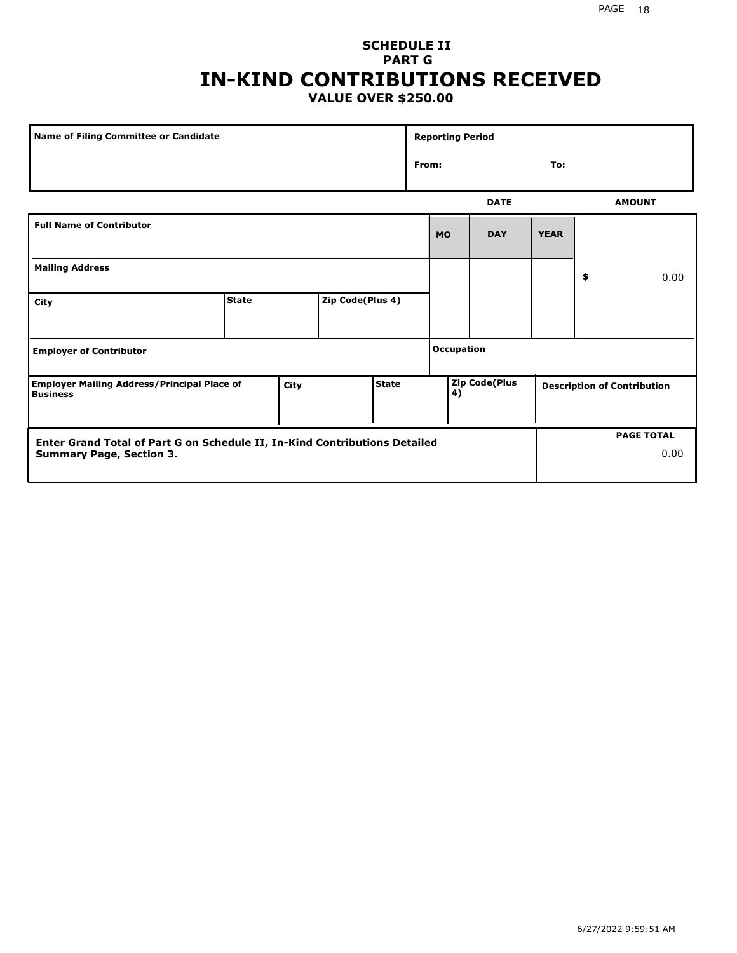## **SCHEDULE II PART G IN-KIND CONTRIBUTIONS RECEIVED VALUE OVER \$250.00**

| Name of Filing Committee or Candidate                                                         |              |  |                  |  | <b>Reporting Period</b>                                          |           |             |             |    |               |
|-----------------------------------------------------------------------------------------------|--------------|--|------------------|--|------------------------------------------------------------------|-----------|-------------|-------------|----|---------------|
|                                                                                               |              |  |                  |  | From:                                                            |           |             | To:         |    |               |
|                                                                                               |              |  |                  |  |                                                                  |           | <b>DATE</b> |             |    | <b>AMOUNT</b> |
| <b>Full Name of Contributor</b>                                                               |              |  |                  |  |                                                                  | <b>MO</b> | <b>DAY</b>  | <b>YEAR</b> |    |               |
| <b>Mailing Address</b>                                                                        |              |  |                  |  |                                                                  |           |             |             | \$ | 0.00          |
| City                                                                                          | <b>State</b> |  | Zip Code(Plus 4) |  |                                                                  |           |             |             |    |               |
| <b>Employer of Contributor</b>                                                                |              |  |                  |  | <b>Occupation</b>                                                |           |             |             |    |               |
| <b>State</b><br><b>Employer Mailing Address/Principal Place of</b><br>City<br><b>Business</b> |              |  |                  |  | <b>Zip Code(Plus</b><br><b>Description of Contribution</b><br>4) |           |             |             |    |               |

| Enter Grand Total of Part G on Schedule II, In-Kind Contributions Detailed |  | <b>PAGE TOTAL</b> |
|----------------------------------------------------------------------------|--|-------------------|
| <b>Summary Page, Section 3.</b>                                            |  | 0.00              |
|                                                                            |  |                   |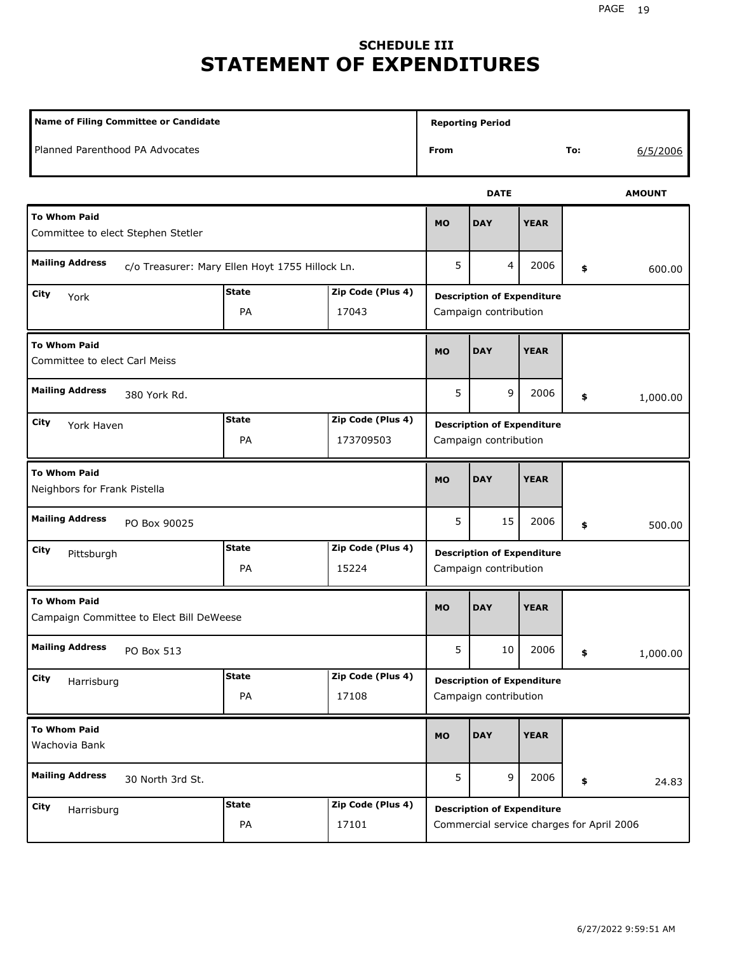# **SCHEDULE III STATEMENT OF EXPENDITURES**

| <b>Name of Filing Committee or Candidate</b>                              |                    |                                                            |                                                            | <b>Reporting Period</b>                                                        |             |    |               |  |
|---------------------------------------------------------------------------|--------------------|------------------------------------------------------------|------------------------------------------------------------|--------------------------------------------------------------------------------|-------------|----|---------------|--|
| Planned Parenthood PA Advocates                                           |                    |                                                            | From                                                       |                                                                                | To:         |    | 6/5/2006      |  |
|                                                                           |                    |                                                            |                                                            | <b>DATE</b>                                                                    |             |    | <b>AMOUNT</b> |  |
| <b>To Whom Paid</b><br>Committee to elect Stephen Stetler                 |                    |                                                            |                                                            | <b>DAY</b>                                                                     | <b>YEAR</b> |    |               |  |
| <b>Mailing Address</b><br>c/o Treasurer: Mary Ellen Hoyt 1755 Hillock Ln. |                    |                                                            | 5                                                          | 4                                                                              | 2006        | \$ | 600.00        |  |
| <b>State</b><br>Zip Code (Plus 4)<br>City<br>York<br>PA<br>17043          |                    |                                                            |                                                            | <b>Description of Expenditure</b><br>Campaign contribution                     |             |    |               |  |
| <b>To Whom Paid</b><br>Committee to elect Carl Meiss                      | <b>MO</b>          | <b>DAY</b>                                                 | <b>YEAR</b>                                                |                                                                                |             |    |               |  |
| <b>Mailing Address</b><br>380 York Rd.                                    |                    |                                                            |                                                            | 9                                                                              | 2006        | \$ | 1,000.00      |  |
| City<br>York Haven                                                        |                    | <b>Description of Expenditure</b><br>Campaign contribution |                                                            |                                                                                |             |    |               |  |
| <b>To Whom Paid</b><br>Neighbors for Frank Pistella                       |                    |                                                            | <b>MO</b>                                                  | <b>DAY</b>                                                                     | <b>YEAR</b> |    |               |  |
| <b>Mailing Address</b><br>PO Box 90025                                    |                    |                                                            | 5                                                          | 15                                                                             | 2006        | \$ | 500.00        |  |
| City<br>Pittsburgh                                                        | <b>State</b><br>PA | Zip Code (Plus 4)<br>15224                                 | <b>Description of Expenditure</b><br>Campaign contribution |                                                                                |             |    |               |  |
| <b>To Whom Paid</b><br>Campaign Committee to Elect Bill DeWeese           |                    |                                                            | <b>MO</b>                                                  | <b>DAY</b>                                                                     | <b>YEAR</b> |    |               |  |
| <b>Mailing Address</b><br>PO Box 513                                      |                    |                                                            | 5                                                          | 10 <sup>1</sup>                                                                | 2006        | \$ | 1,000.00      |  |
| City<br>Harrisburg                                                        | <b>State</b><br>PA | Zip Code (Plus 4)<br>17108                                 |                                                            | <b>Description of Expenditure</b><br>Campaign contribution                     |             |    |               |  |
| <b>To Whom Paid</b><br>Wachovia Bank                                      |                    |                                                            | <b>MO</b>                                                  | <b>DAY</b>                                                                     | <b>YEAR</b> |    |               |  |
| <b>Mailing Address</b><br>30 North 3rd St.                                |                    |                                                            | 5                                                          | 9                                                                              | 2006        | \$ | 24.83         |  |
| City<br>Harrisburg                                                        | <b>State</b><br>PA | Zip Code (Plus 4)<br>17101                                 |                                                            | <b>Description of Expenditure</b><br>Commercial service charges for April 2006 |             |    |               |  |